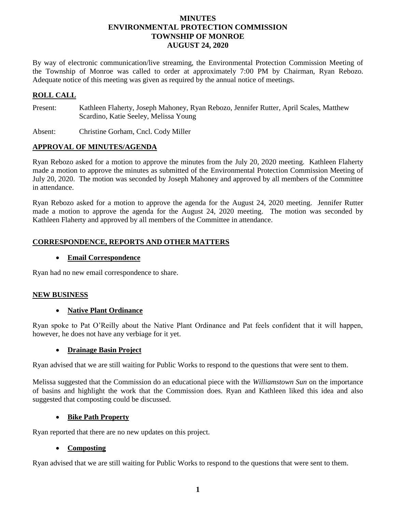# **MINUTES ENVIRONMENTAL PROTECTION COMMISSION TOWNSHIP OF MONROE AUGUST 24, 2020**

By way of electronic communication/live streaming, the Environmental Protection Commission Meeting of the Township of Monroe was called to order at approximately 7:00 PM by Chairman, Ryan Rebozo. Adequate notice of this meeting was given as required by the annual notice of meetings.

# **ROLL CALL**

Present: Kathleen Flaherty, Joseph Mahoney, Ryan Rebozo, Jennifer Rutter, April Scales, Matthew Scardino, Katie Seeley, Melissa Young

Absent: Christine Gorham, Cncl. Cody Miller

# **APPROVAL OF MINUTES/AGENDA**

Ryan Rebozo asked for a motion to approve the minutes from the July 20, 2020 meeting. Kathleen Flaherty made a motion to approve the minutes as submitted of the Environmental Protection Commission Meeting of July 20, 2020. The motion was seconded by Joseph Mahoney and approved by all members of the Committee in attendance.

Ryan Rebozo asked for a motion to approve the agenda for the August 24, 2020 meeting. Jennifer Rutter made a motion to approve the agenda for the August 24, 2020 meeting. The motion was seconded by Kathleen Flaherty and approved by all members of the Committee in attendance.

# **CORRESPONDENCE, REPORTS AND OTHER MATTERS**

#### **Email Correspondence**

Ryan had no new email correspondence to share.

# **NEW BUSINESS**

# **Native Plant Ordinance**

Ryan spoke to Pat O'Reilly about the Native Plant Ordinance and Pat feels confident that it will happen, however, he does not have any verbiage for it yet.

# **Drainage Basin Project**

Ryan advised that we are still waiting for Public Works to respond to the questions that were sent to them.

Melissa suggested that the Commission do an educational piece with the *Williamstown Sun* on the importance of basins and highlight the work that the Commission does. Ryan and Kathleen liked this idea and also suggested that composting could be discussed.

# **Bike Path Property**

Ryan reported that there are no new updates on this project.

# **Composting**

Ryan advised that we are still waiting for Public Works to respond to the questions that were sent to them.